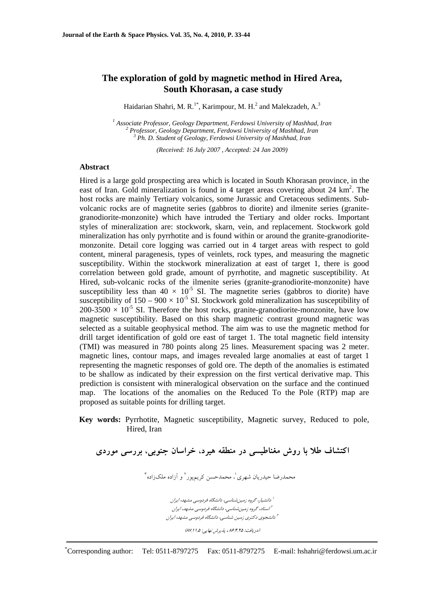# **The exploration of gold by magnetic method in Hired Area, South Khorasan, a case study**

Haidarian Shahri, M. R.<sup>1\*</sup>, Karimpour, M. H.<sup>2</sup> and Malekzadeh, A.<sup>3</sup>

<sup>1</sup> Associate Professor, Geology Department, Ferdowsi University of Mashhad, Iran <sup>2</sup> Brofessor, Geology Department, Ferdowsi University of Mashhad, Iran <sup>2</sup> Professor, Geology Department, Ferdowsi University of Mashhad, Iran  *Ph. D. Student of Geology, Ferdowsi University of Mashhad, Iran* 

*(Received: 16 July 2007 , Accepted: 24 Jan 2009)*

### **Abstract**

Hired is a large gold prospecting area which is located in South Khorasan province, in the east of Iran. Gold mineralization is found in 4 target areas covering about 24 km<sup>2</sup>. The host rocks are mainly Tertiary volcanics, some Jurassic and Cretaceous sediments. Subvolcanic rocks are of magnetite series (gabbros to diorite) and ilmenite series (granitegranodiorite-monzonite) which have intruded the Tertiary and older rocks. Important styles of mineralization are: stockwork, skarn, vein, and replacement. Stockwork gold mineralization has only pyrrhotite and is found within or around the granite-granodioritemonzonite. Detail core logging was carried out in 4 target areas with respect to gold content, mineral paragenesis, types of veinlets, rock types, and measuring the magnetic susceptibility. Within the stockwork mineralization at east of target 1, there is good correlation between gold grade, amount of pyrrhotite, and magnetic susceptibility. At Hired, sub-volcanic rocks of the ilmenite series (granite-granodiorite-monzonite) have susceptibility less than  $40 \times 10^{-5}$  SI. The magnetite series (gabbros to diorite) have susceptibility of  $150 - 900 \times 10^{-5}$  SI. Stockwork gold mineralization has susceptibility of  $200-3500 \times 10^{-5}$  SI. Therefore the host rocks, granite-granodiorite-monzonite, have low magnetic susceptibility. Based on this sharp magnetic contrast ground magnetic was selected as a suitable geophysical method. The aim was to use the magnetic method for drill target identification of gold ore east of target 1. The total magnetic field intensity (TMI) was measured in 780 points along 25 lines. Measurement spacing was 2 meter. magnetic lines, contour maps, and images revealed large anomalies at east of target 1 representing the magnetic responses of gold ore. The depth of the anomalies is estimated to be shallow as indicated by their expression on the first vertical derivative map. This prediction is consistent with mineralogical observation on the surface and the continued map. The locations of the anomalies on the Reduced To the Pole (RTP) map are proposed as suitable points for drilling target.

## **Key words:** Pyrrhotite, Magnetic susceptibility, Magnetic survey, Reduced to pole, Hired, Iran

**اكتشاف طلا با روش مغناطيسي در منطقه هيرد، خراسان جنوبي، بررسي موردي** محمدرضا حيدريان شهري'، محمدحسن كريمپور<sup>٬</sup> و آزاده ملكزاده<sup>۳</sup> د.<br>ازانشيار، گروه زمين شناسي، دانشگاه فردوسي مشهد، ايران استاد، گروه زمينشناسي، دانشگاه فردوسي مشهد، ايران <sup>2</sup> دانشجوي دكتري زمين شناسي، دانشگاه فردوسي مشهد، ايران <sup>3</sup> (دريافت: ۶۲۵ ,۴ په پرش نهايي: ۱۱٫۵ )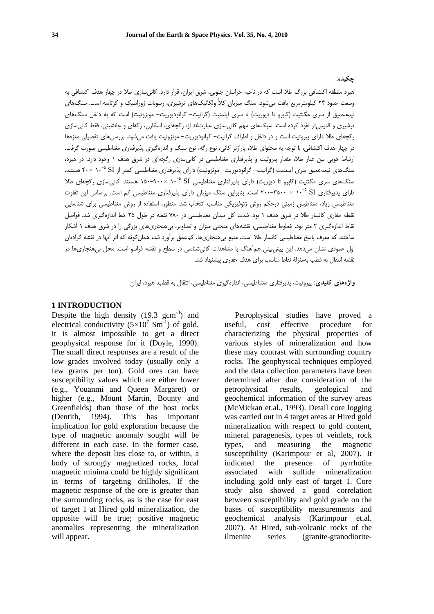#### **چكيده:**

هيرد منطقه اكتشافي بزرگ طلا است كه در ناحيه خراسان جنوبي، شرق ايران، قرار دارد. كانيسازي طلا در چهار هدف اكتشافي به وسعت حدود 24 كيلومترمربع يافت ميشود. سنگ ميزبان كلاً ولكانيكهاي ترشيري، رسوبات ژوراسيك و كرتاسه است. سنگهاي نيمهعميق از سري مگنتيت (گابرو تا ديوريت) تا سري ايلمنيت (گرانيت- گرانوديوريت- مونزونيت) است كه به داخل سنگهاي ترشيري و قديميتر نفوذ كرده است. سبكهاي مهم كانيسازي عبارتاند از: رگچهاي، اسكارن، رگهاي و جانشيني. فقط كانيسازي رگچهاي طلا داراي پيروتيت است و در داخل و اطراف گرانيت- گرانوديوريت- مونزونيت يافت ميشود. بررسيهاي تفصيلي مغزهها در چهار هدف اكتشافي، با توجه به محتواي طلا، پاراژنز كاني، نوع رگه، نوع سنگ و اندزهگيري پذيرفتاري مغناطيسي صورت گرفت. ارتباط خوبي بين عيار طلا، مقدار پيروتيت و پذيرفتاري مغناطيسي در كانيسازي رگچهاي در شرق هدف 1 وجود دارد. در هيرد، سنگهاي نيمهعميق سري ايلمنيت (گرانيت- گرانوديوريت- مونزونيت) داراي پذيرفتاري مغناطيسي كمتر از SI <sup>۲</sup>۰× × ۴۰ هستند. سنگهاي سري مگنتيت (گابرو تا ديوريت) داراي پذيرفتاري مغناطيسي SI <sup>۹</sup>۰۰× ۰۹-۱۵۰ هستند. کان<sub>ي ساز</sub>ي رگچهاي طلا داراي پذيرفتاري SI °-۱ × ۳۵۰۰-۲۵۰۰ است. بنابراين سنگ ميزبان داراي پذيرفتاري مغناطيسي كم است. براساس اين تفاوت مغناطيسي زياد، مغناطيس زميني درحكم روش ژئوفيزيكي مناسب انتخاب شد. منظور، استفاده از روش مغناطيسي براي شناسايي نقطه حفاري كانسار طلا در شرق هدف 1 بود. شدت كل ميدان مغناطيسي در 780 نقطه در طول 25 خط اندازهگيري شد. فواصل نقاط اندازهگيري 2 متر بود. خطوط مغناطيسي، نقشههاي منحني ميزان و تصاوير، بيهنجاريهاي بزرگي را در شرق هدف 1 آشكار ساختند كه معرف پاسخ مغناطيسي كانسار طلا است. منبع بيهنجاريها، كمعمق برآورد شد، همانگونه كه اثر آنها در نقشه گراديان اول عمودي نشان ميدهد. اين پيشبيني همآهنگ با مشاهدات كانيشناسي در سطح و نقشه فراسو است. محل بيهنجاريها در نقشه انتقال به قطب بهمنزلة نقاط مناسب براي هدف حفاري پيشنهاد شد.

**واژههاي كليدي:** پيروتيت، پذيرفتاري مغتناطيسي، اندازهگيري مغناطيسي، انتقال به قطب، هيرد، ايران

#### **1 INTRODUCTION**

Despite the high density  $(19.3 \text{ gcm}^{-3})$  and electrical conductivity  $(5\times10^{7} \text{ Sm}^{-1})$  of gold, it is almost impossible to get a direct geophysical response for it (Doyle, 1990). The small direct responses are a result of the low grades involved today (usually only a few grams per ton). Gold ores can have susceptibility values which are either lower (e.g., Youanmi and Queen Margaret) or higher (e.g., Mount Martin, Bounty and Greenfields) than those of the host rocks (Dentith, 1994). This has important implication for gold exploration because the type of magnetic anomaly sought will be different in each case. In the former case, where the deposit lies close to, or within, a body of strongly magnetized rocks, local magnetic minima could be highly significant in terms of targeting drillholes. If the magnetic response of the ore is greater than the surrounding rocks, as is the case for east of target 1 at Hired gold mineralization, the opposite will be true; positive magnetic anomalies representing the mineralization will appear.

Petrophysical studies have proved a useful, cost effective procedure for characterizing the physical properties of various styles of mineralization and how these may contrast with surrounding country rocks. The geophysical techniques employed and the data collection parameters have been determined after due consideration of the petrophysical results, geological and geochemical information of the survey areas (McMickan et.al., 1993). Detail core logging was carried out in 4 target areas at Hired gold mineralization with respect to gold content, mineral paragenesis, types of veinlets, rock types, and measuring the magnetic susceptibility (Karimpour et al, 2007). It indicated the presence of pyrrhotite associated with sulfide mineralization including gold only east of target 1. Core study also showed a good correlation between susceptibility and gold grade on the bases of susceptibility measurements and geochemical analysis (Karimpour et.al. 2007). At Hired, sub-volcanic rocks of the ilmenite series (granite-granodiorite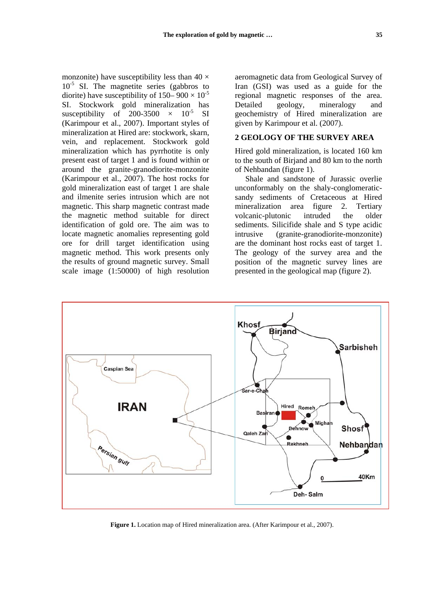monzonite) have susceptibility less than  $40 \times$  $10^{-5}$  SI. The magnetite series (gabbros to diorite) have susceptibility of  $150-900 \times 10^{-5}$ SI. Stockwork gold mineralization has susceptibility of 200-3500  $\times$  10<sup>-5</sup> SI (Karimpour et al., 2007). Important styles of mineralization at Hired are: stockwork, skarn, vein, and replacement. Stockwork gold mineralization which has pyrrhotite is only present east of target 1 and is found within or around the granite-granodiorite-monzonite (Karimpour et al., 2007). The host rocks for gold mineralization east of target 1 are shale and ilmenite series intrusion which are not magnetic. This sharp magnetic contrast made the magnetic method suitable for direct identification of gold ore. The aim was to locate magnetic anomalies representing gold ore for drill target identification using magnetic method. This work presents only the results of ground magnetic survey. Small scale image (1:50000) of high resolution

aeromagnetic data from Geological Survey of Iran (GSI) was used as a guide for the regional magnetic responses of the area. Detailed geology, mineralogy and geochemistry of Hired mineralization are given by Karimpour et al. (2007).

#### **2 GEOLOGY OF THE SURVEY AREA**

Hired gold mineralization, is located 160 km to the south of Birjand and 80 km to the north of Nehbandan (figure 1).

Shale and sandstone of Jurassic overlie unconformably on the shaly-conglomeraticsandy sediments of Cretaceous at Hired mineralization area figure 2. Tertiary volcanic-plutonic intruded the older sediments. Silicifide shale and S type acidic intrusive (granite-granodiorite-monzonite) are the dominant host rocks east of target 1. The geology of the survey area and the position of the magnetic survey lines are presented in the geological map (figure 2).



**Figure 1.** Location map of Hired mineralization area. (After Karimpour et al., 2007).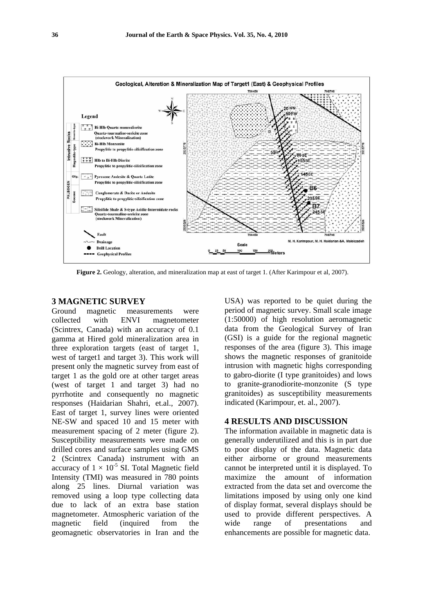

**Figure 2.** Geology, alteration, and mineralization map at east of target 1. (After Karimpour et al, 2007).

## **3 MAGNETIC SURVEY**

Ground magnetic measurements were collected with ENVI magnetometer (Scintrex, Canada) with an accuracy of 0.1 gamma at Hired gold mineralization area in three exploration targets (east of target 1, west of target1 and target 3). This work will present only the magnetic survey from east of target 1 as the gold ore at other target areas (west of target 1 and target 3) had no pyrrhotite and consequently no magnetic responses (Haidarian Shahri, et.al., 2007). East of target 1, survey lines were oriented NE-SW and spaced 10 and 15 meter with measurement spacing of 2 meter (figure 2). Susceptibility measurements were made on drilled cores and surface samples using GMS 2 (Scintrex Canada) instrument with an accuracy of  $1 \times 10^{-5}$  SI. Total Magnetic field Intensity (TMI) was measured in 780 points along 25 lines. Diurnal variation was removed using a loop type collecting data due to lack of an extra base station magnetometer. Atmospheric variation of the magnetic field (inquired from the geomagnetic observatories in Iran and the

USA) was reported to be quiet during the period of magnetic survey. Small scale image (1:50000) of high resolution aeromagnetic data from the Geological Survey of Iran (GSI) is a guide for the regional magnetic responses of the area (figure 3). This image shows the magnetic responses of granitoide intrusion with magnetic highs corresponding to gabro-diorite (I type granitoides) and lows to granite-granodiorite-monzonite (S type granitoides) as susceptibility measurements indicated (Karimpour, et. al., 2007).

### **4 RESULTS AND DISCUSSION**

The information available in magnetic data is generally underutilized and this is in part due to poor display of the data. Magnetic data either airborne or ground measurements cannot be interpreted until it is displayed. To maximize the amount of information extracted from the data set and overcome the limitations imposed by using only one kind of display format, several displays should be used to provide different perspectives. A wide range of presentations and enhancements are possible for magnetic data.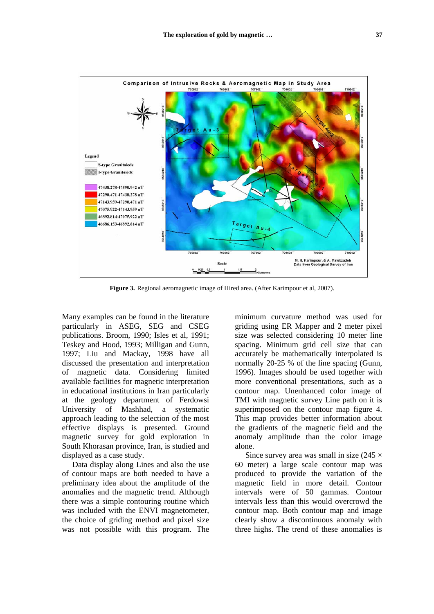

**Figure 3.** Regional aeromagnetic image of Hired area. (After Karimpour et al, 2007).

Many examples can be found in the literature particularly in ASEG, SEG and CSEG publications. Broom, 1990; Isles et al, 1991; Teskey and Hood, 1993; Milligan and Gunn, 1997; Liu and Mackay, 1998 have all discussed the presentation and interpretation of magnetic data. Considering limited available facilities for magnetic interpretation in educational institutions in Iran particularly at the geology department of Ferdowsi University of Mashhad, a systematic approach leading to the selection of the most effective displays is presented. Ground magnetic survey for gold exploration in South Khorasan province, Iran, is studied and displayed as a case study.

Data display along Lines and also the use of contour maps are both needed to have a preliminary idea about the amplitude of the anomalies and the magnetic trend. Although there was a simple contouring routine which was included with the ENVI magnetometer, the choice of griding method and pixel size was not possible with this program. The

minimum curvature method was used for griding using ER Mapper and 2 meter pixel size was selected considering 10 meter line spacing. Minimum grid cell size that can accurately be mathematically interpolated is normally 20-25 % of the line spacing (Gunn, 1996). Images should be used together with more conventional presentations, such as a contour map. Unenhanced color image of TMI with magnetic survey Line path on it is superimposed on the contour map figure 4. This map provides better information about the gradients of the magnetic field and the anomaly amplitude than the color image alone.

Since survey area was small in size  $(245 \times$ 60 meter) a large scale contour map was produced to provide the variation of the magnetic field in more detail. Contour intervals were of 50 gammas. Contour intervals less than this would overcrowd the contour map. Both contour map and image clearly show a discontinuous anomaly with three highs. The trend of these anomalies is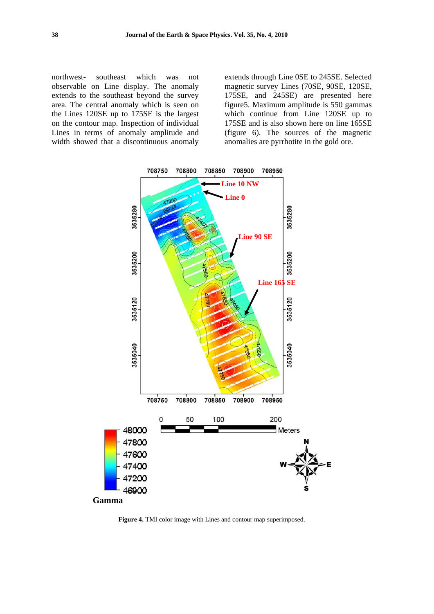northwest- southeast which was not observable on Line display. The anomaly extends to the southeast beyond the survey area. The central anomaly which is seen on the Lines 120SE up to 175SE is the largest on the contour map. Inspection of individual Lines in terms of anomaly amplitude and width showed that a discontinuous anomaly extends through Line 0SE to 245SE. Selected magnetic survey Lines (70SE, 90SE, 120SE, 175SE, and 245SE) are presented here figure5. Maximum amplitude is 550 gammas which continue from Line 120SE up to 175SE and is also shown here on line 165SE (figure 6). The sources of the magnetic anomalies are pyrrhotite in the gold ore.



**Figure 4.** TMI color image with Lines and contour map superimposed.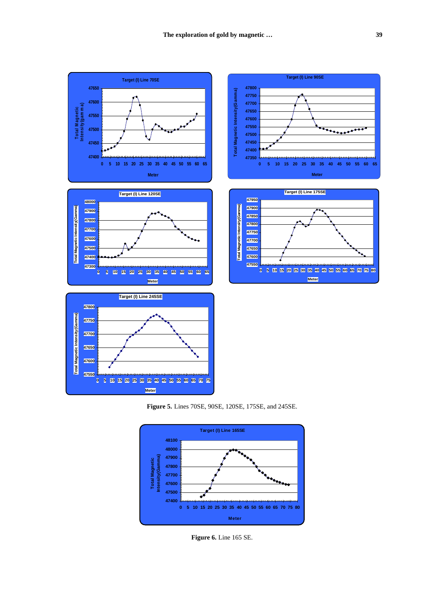

**Figure 5.** Lines 70SE, 90SE, 120SE, 175SE, and 245SE.



**Figure 6.** Line 165 SE.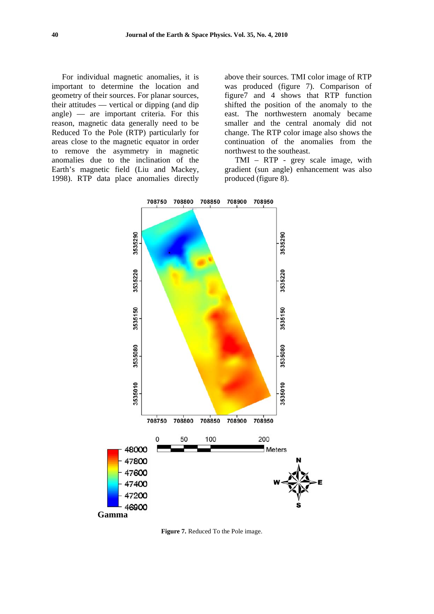For individual magnetic anomalies, it is important to determine the location and geometry of their sources. For planar sources, their attitudes — vertical or dipping (and dip angle) — are important criteria. For this reason, magnetic data generally need to be Reduced To the Pole (RTP) particularly for areas close to the magnetic equator in order to remove the asymmetry in magnetic anomalies due to the inclination of the Earth's magnetic field (Liu and Mackey, 1998). RTP data place anomalies directly

above their sources. TMI color image of RTP was produced (figure 7). Comparison of figure7 and 4 shows that RTP function shifted the position of the anomaly to the east. The northwestern anomaly became smaller and the central anomaly did not change. The RTP color image also shows the continuation of the anomalies from the northwest to the southeast.

TMI – RTP - grey scale image, with gradient (sun angle) enhancement was also produced (figure 8).



**Figure 7.** Reduced To the Pole image.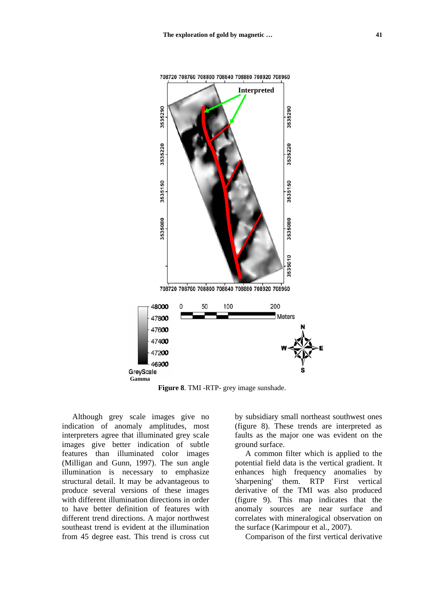

**Figure 8**. TMI -RTP- grey image sunshade.

Although grey scale images give no indication of anomaly amplitudes, most interpreters agree that illuminated grey scale images give better indication of subtle features than illuminated color images (Milligan and Gunn, 1997). The sun angle illumination is necessary to emphasize structural detail. It may be advantageous to produce several versions of these images with different illumination directions in order to have better definition of features with different trend directions. A major northwest southeast trend is evident at the illumination from 45 degree east. This trend is cross cut

by subsidiary small northeast southwest ones (figure 8). These trends are interpreted as faults as the major one was evident on the ground surface.

A common filter which is applied to the potential field data is the vertical gradient. It enhances high frequency anomalies by 'sharpening' them. RTP First vertical derivative of the TMI was also produced (figure 9). This map indicates that the anomaly sources are near surface and correlates with mineralogical observation on the surface (Karimpour et al., 2007).

Comparison of the first vertical derivative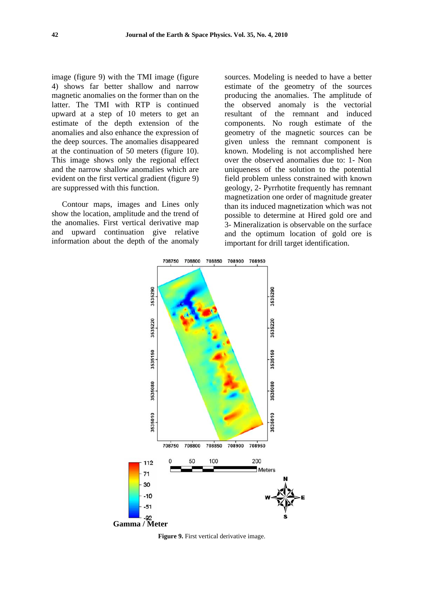image (figure 9) with the TMI image (figure 4) shows far better shallow and narrow magnetic anomalies on the former than on the latter. The TMI with RTP is continued upward at a step of 10 meters to get an estimate of the depth extension of the anomalies and also enhance the expression of the deep sources. The anomalies disappeared at the continuation of 50 meters (figure 10). This image shows only the regional effect and the narrow shallow anomalies which are evident on the first vertical gradient (figure 9) are suppressed with this function.

Contour maps, images and Lines only show the location, amplitude and the trend of the anomalies. First vertical derivative map and upward continuation give relative information about the depth of the anomaly

sources. Modeling is needed to have a better estimate of the geometry of the sources producing the anomalies. The amplitude of the observed anomaly is the vectorial resultant of the remnant and induced components. No rough estimate of the geometry of the magnetic sources can be given unless the remnant component is known. Modeling is not accomplished here over the observed anomalies due to: 1- Non uniqueness of the solution to the potential field problem unless constrained with known geology, 2- Pyrrhotite frequently has remnant magnetization one order of magnitude greater than its induced magnetization which was not possible to determine at Hired gold ore and 3- Mineralization is observable on the surface and the optimum location of gold ore is important for drill target identification.



**Figure 9.** First vertical derivative image.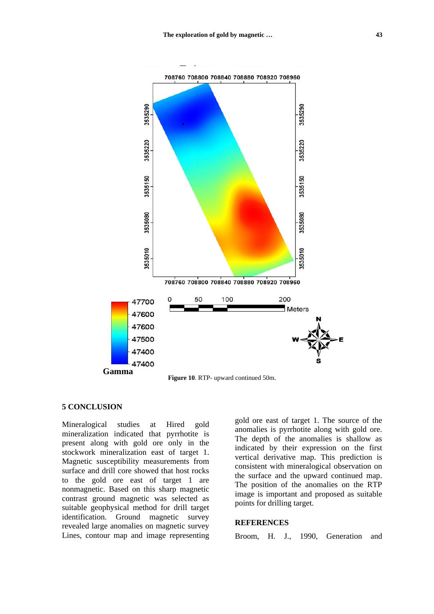

#### **5 CONCLUSION**

Mineralogical studies at Hired gold mineralization indicated that pyrrhotite is present along with gold ore only in the stockwork mineralization east of target 1. Magnetic susceptibility measurements from surface and drill core showed that host rocks to the gold ore east of target 1 are nonmagnetic. Based on this sharp magnetic contrast ground magnetic was selected as suitable geophysical method for drill target identification. Ground magnetic survey revealed large anomalies on magnetic survey Lines, contour map and image representing gold ore east of target 1. The source of the anomalies is pyrrhotite along with gold ore. The depth of the anomalies is shallow as indicated by their expression on the first vertical derivative map. This prediction is consistent with mineralogical observation on the surface and the upward continued map. The position of the anomalies on the RTP image is important and proposed as suitable points for drilling target.

### **REFERENCES**

Broom, H. J., 1990, Generation and